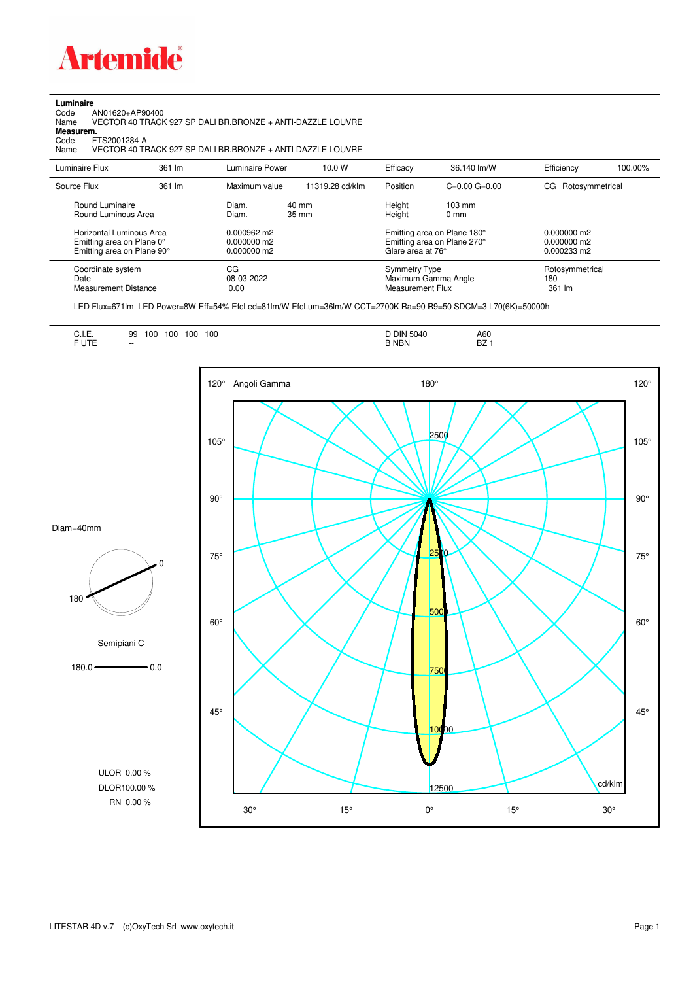

## **Luminaire**

Code AN01620+AP90400 Name VECTOR 40 TRACK 927 SP DALI BR.BRONZE + ANTI-DAZZLE LOUVRE Code A<br>Name V<br>**Measurem.** 

Code FTS2001284-A<br>Name VECTOR 40 TF Name VECTOR 40 TRACK 927 SP DALI BR.BRONZE + ANTI-DAZZLE LOUVRE

| Luminaire Flux                                                                                                                | 361 lm | Luminaire Power                                                 | 10.0 W          | Efficacy                          | 36.140 lm/W                                                                                                                               | Efficiency                       | 100.00% |
|-------------------------------------------------------------------------------------------------------------------------------|--------|-----------------------------------------------------------------|-----------------|-----------------------------------|-------------------------------------------------------------------------------------------------------------------------------------------|----------------------------------|---------|
| Source Flux                                                                                                                   | 361 lm | Maximum value                                                   | 11319.28 cd/klm | Position                          | $C=0.00$ $G=0.00$                                                                                                                         | CG Rotosymmetrical               |         |
| Round Luminaire<br>Round Luminous Area<br>Horizontal Luminous Area<br>Emitting area on Plane 0°<br>Emitting area on Plane 90° |        | Diam.<br>Diam.<br>0.000962 m2<br>$0.000000$ m2<br>$0.000000$ m2 | 40 mm<br>35 mm  |                                   | Height<br>$103 \text{ mm}$<br>Height<br>$0 \text{ mm}$<br>Emitting area on Plane 180°<br>Emitting area on Plane 270°<br>Glare area at 76° |                                  |         |
| Coordinate system<br>Date<br>Measurement Distance                                                                             |        | CG<br>08-03-2022<br>0.00                                        |                 | Symmetry Type<br>Measurement Flux | Maximum Gamma Angle                                                                                                                       | Rotosymmetrical<br>180<br>361 lm |         |

LED Flux=671lm LED Power=8W Eff=54% EfcLed=81lm/W EfcLum=36lm/W CCT=2700K Ra=90 R9=50 SDCM=3 L70(6K)=50000h